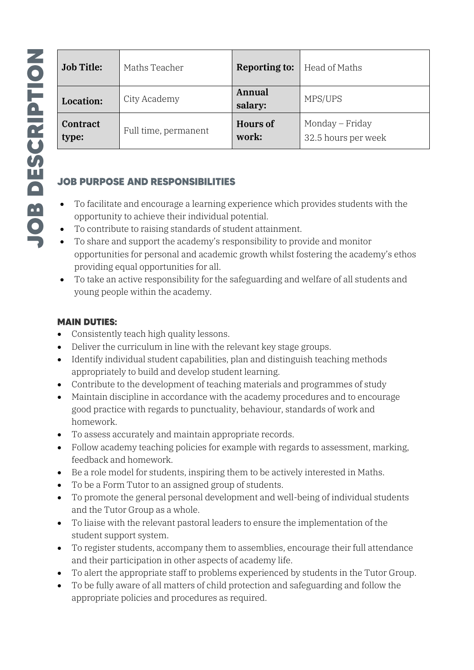| <b>Job Title:</b>        | Maths Teacher        | <b>Reporting to:</b>     | Head of Maths                          |  |
|--------------------------|----------------------|--------------------------|----------------------------------------|--|
| <b>Location:</b>         | City Academy         | Annual<br>salary:        | MPS/UPS                                |  |
| <b>Contract</b><br>type: | Full time, permanent | <b>Hours of</b><br>work: | Monday – Friday<br>32.5 hours per week |  |

### **JOB PURPOSE AND RESPONSIBILITIES**

- To facilitate and encourage a learning experience which provides students with the opportunity to achieve their individual potential.
- To contribute to raising standards of student attainment.
- To share and support the academy's responsibility to provide and monitor opportunities for personal and academic growth whilst fostering the academy's ethos providing equal opportunities for all.
- To take an active responsibility for the safeguarding and welfare of all students and young people within the academy.

### **MAIN DUTIES:**

- Consistently teach high quality lessons.
- Deliver the curriculum in line with the relevant key stage groups.
- Identify individual student capabilities, plan and distinguish teaching methods appropriately to build and develop student learning.
- Contribute to the development of teaching materials and programmes of study
- Maintain discipline in accordance with the academy procedures and to encourage good practice with regards to punctuality, behaviour, standards of work and homework.
- To assess accurately and maintain appropriate records.
- Follow academy teaching policies for example with regards to assessment, marking, feedback and homework.
- Be a role model for students, inspiring them to be actively interested in Maths.
- To be a Form Tutor to an assigned group of students.
- To promote the general personal development and well-being of individual students and the Tutor Group as a whole.
- To liaise with the relevant pastoral leaders to ensure the implementation of the student support system.
- To register students, accompany them to assemblies, encourage their full attendance and their participation in other aspects of academy life.
- To alert the appropriate staff to problems experienced by students in the Tutor Group.
- To be fully aware of all matters of child protection and safeguarding and follow the appropriate policies and procedures as required.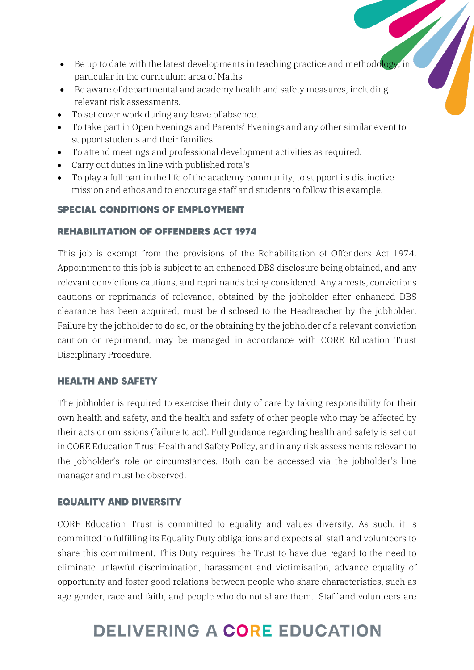- Be up to date with the latest developments in teaching practice and methodology, in particular in the curriculum area of Maths
- Be aware of departmental and academy health and safety measures, including relevant risk assessments.
- To set cover work during any leave of absence.
- To take part in Open Evenings and Parents' Evenings and any other similar event to support students and their families.
- To attend meetings and professional development activities as required.
- Carry out duties in line with published rota's
- To play a full part in the life of the academy community, to support its distinctive mission and ethos and to encourage staff and students to follow this example.

### **SPECIAL CONDITIONS OF EMPLOYMENT**

### **REHABILITATION OF OFFENDERS ACT 1974**

This job is exempt from the provisions of the Rehabilitation of Offenders Act 1974. Appointment to this job is subject to an enhanced DBS disclosure being obtained, and any relevant convictions cautions, and reprimands being considered. Any arrests, convictions cautions or reprimands of relevance, obtained by the jobholder after enhanced DBS clearance has been acquired, must be disclosed to the Headteacher by the jobholder. Failure by the jobholder to do so, or the obtaining by the jobholder of a relevant conviction caution or reprimand, may be managed in accordance with CORE Education Trust Disciplinary Procedure.

### **HEALTH AND SAFETY**

The jobholder is required to exercise their duty of care by taking responsibility for their own health and safety, and the health and safety of other people who may be affected by their acts or omissions (failure to act). Full guidance regarding health and safety is set out in CORE Education Trust Health and Safety Policy, and in any risk assessments relevant to the jobholder's role or circumstances. Both can be accessed via the jobholder's line manager and must be observed.

### **EQUALITY AND DIVERSITY**

CORE Education Trust is committed to equality and values diversity. As such, it is committed to fulfilling its Equality Duty obligations and expects all staff and volunteers to share this commitment. This Duty requires the Trust to have due regard to the need to eliminate unlawful discrimination, harassment and victimisation, advance equality of opportunity and foster good relations between people who share characteristics, such as age gender, race and faith, and people who do not share them. Staff and volunteers are

# DELIVERING A CORE EDUCATION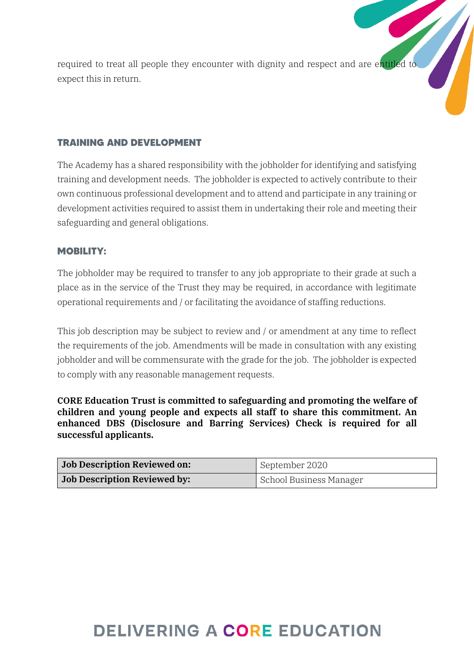required to treat all people they encounter with dignity and respect and are entitled to expect this in return.

### **TRAINING AND DEVELOPMENT**

The Academy has a shared responsibility with the jobholder for identifying and satisfying training and development needs. The jobholder is expected to actively contribute to their own continuous professional development and to attend and participate in any training or development activities required to assist them in undertaking their role and meeting their safeguarding and general obligations.

### **MOBILITY:**

The jobholder may be required to transfer to any job appropriate to their grade at such a place as in the service of the Trust they may be required, in accordance with legitimate operational requirements and / or facilitating the avoidance of staffing reductions.

This job description may be subject to review and / or amendment at any time to reflect the requirements of the job. Amendments will be made in consultation with any existing jobholder and will be commensurate with the grade for the job. The jobholder is expected to comply with any reasonable management requests.

CORE Education Trust is committed to safeguarding and promoting the welfare of children and young people and expects all staff to share this commitment. An enhanced DBS (Disclosure and Barring Services) Check is required for all successful applicants.

| <b>Job Description Reviewed on:</b> | September 2020          |  |
|-------------------------------------|-------------------------|--|
| <b>Job Description Reviewed by:</b> | School Business Manager |  |

## **DELIVERING A CORE EDUCATION**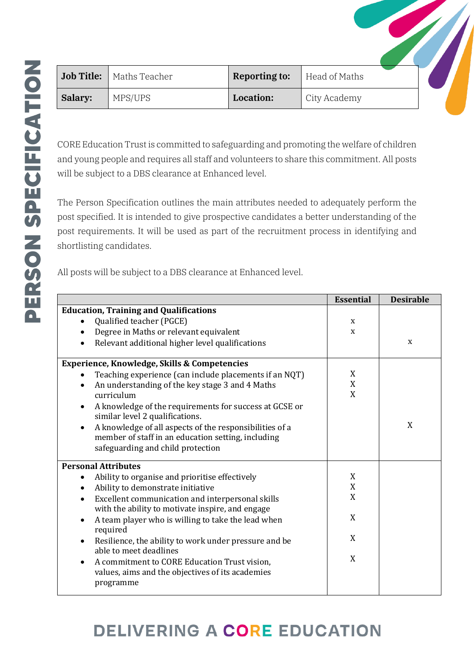| <b>Job Title:</b> | Maths Teacher | <b>Reporting to:</b> | Head of Maths |  |
|-------------------|---------------|----------------------|---------------|--|
| Salary:           | MPS/UPS       | Location:            | City Academy  |  |

CORE Education Trust is committed to safeguarding and promoting the welfare of children and young people and requires all staff and volunteers to share this commitment. All posts will be subject to a DBS clearance at Enhanced level.

The Person Specification outlines the main attributes needed to adequately perform the post specified. It is intended to give prospective candidates a better understanding of the post requirements. It will be used as part of the recruitment process in identifying and shortlisting candidates.

All posts will be subject to a DBS clearance at Enhanced level.

|                                                                                                                   | <b>Essential</b> | <b>Desirable</b> |
|-------------------------------------------------------------------------------------------------------------------|------------------|------------------|
| <b>Education, Training and Qualifications</b>                                                                     |                  |                  |
| Qualified teacher (PGCE)                                                                                          | X                |                  |
| Degree in Maths or relevant equivalent<br>$\bullet$                                                               | X                |                  |
| Relevant additional higher level qualifications<br>$\bullet$                                                      |                  | X                |
| <b>Experience, Knowledge, Skills &amp; Competencies</b>                                                           |                  |                  |
| Teaching experience (can include placements if an NQT)<br>$\bullet$                                               | X                |                  |
| An understanding of the key stage 3 and 4 Maths<br>$\bullet$                                                      | X                |                  |
| curriculum                                                                                                        | X                |                  |
| A knowledge of the requirements for success at GCSE or<br>$\bullet$<br>similar level 2 qualifications.            |                  |                  |
| A knowledge of all aspects of the responsibilities of a<br>$\bullet$                                              |                  | X                |
| member of staff in an education setting, including                                                                |                  |                  |
| safeguarding and child protection                                                                                 |                  |                  |
| <b>Personal Attributes</b>                                                                                        |                  |                  |
| Ability to organise and prioritise effectively<br>$\bullet$                                                       | X                |                  |
| Ability to demonstrate initiative<br>$\bullet$                                                                    | $\mathbf X$      |                  |
| Excellent communication and interpersonal skills<br>$\bullet$<br>with the ability to motivate inspire, and engage | X                |                  |
| A team player who is willing to take the lead when<br>$\bullet$<br>required                                       | X                |                  |
| Resilience, the ability to work under pressure and be<br>$\bullet$                                                | X                |                  |
| able to meet deadlines<br>A commitment to CORE Education Trust vision,<br>$\bullet$                               | X                |                  |
| values, aims and the objectives of its academies<br>programme                                                     |                  |                  |
|                                                                                                                   |                  |                  |

# **DELIVERING A CORE EDUCATION**